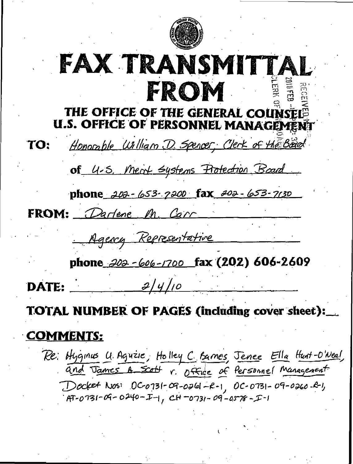

# FAX TRANSMITTAL FROM  $\Xi$ THE OFFICE OF THE GENERAL COUNSEL<sup>®</sup> **U.S. OFFICE OF PERSONNEL MANAGEMENT**

'Uilliam D. Spencer, Clerk TO: of 4-5. Ment systems Protection Board phone 202-653-7200 fax 202-653-7130 FROM: Darlene In Agency Representative phone 202 - 606 - 1700 fax (202) 606 - 2609 DATE:  $\frac{2|y|_{10}}{10}$ TOTAL NUMBER OF PAGES (including cover sheet)

# COMMENTS:

Re: Hyginus U. Aguzie, Holley C. Barnes, Jenee Ella Hunt-O'Neal, and James A scott r. Office of Personnel Management Docket Nos: 0C-0731-09-0261-R-1, 0C-0731-09-0260-R-1,  $7.47 - 0.731 - 09 - 0.240 - I - 1,$  CH -0731 - 09 -0578 - I-1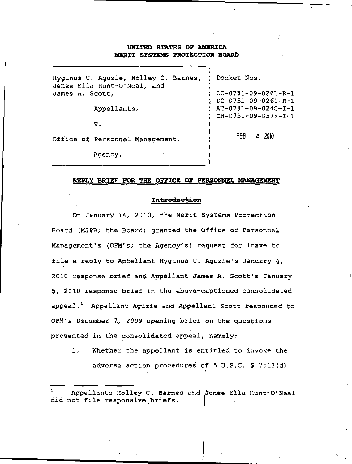# UNITED STATES OF AMERICA MERIT SYSTEMS PROTECTION BOARD

| Hyginus U. Aguzie, Holley C. Barnes,<br>Jenee Ella Hunt-O'Neal, and | Docket Nos.                                  |
|---------------------------------------------------------------------|----------------------------------------------|
| James A. Scott,                                                     | $DC-0731-09-0261-R-1$<br>DC-0731-09-0260-R-1 |
| Appellants,                                                         | AT-0731-09-0240-I-1<br>CH-0731-09-0578-I-1   |
| $\mathbf v$ .                                                       |                                              |
| Office of Personnel Management,                                     | FEB<br>-2010<br>$\overline{4}$               |
| Agency.                                                             |                                              |

### REPLY BRIEF FOR THE OFFICE OF PERSONNEL MANAGEMENT

#### Introduction

On January 14, 2010, the Merit Systems Protection Board (MSPB; the Board) granted the Office of Personnel Management's (OPM's; the Agency's) request for leave to file a reply to Appellant Hyginus U. Aguzie's January 4, 2010 response brief and Appellant James A. Scott's January 5, 2010 response brief in the above-captioned consolidated appeal.<sup>1</sup> Appellant Aguzie and Appellant Scott responded to OPM's December 7, 2009 opening brief on the questions presented in the consolidated appeal, namely:

1. Whether the appellant is entitled to invoke the adverse action procedures of 5 U.S.C, § 7513(d)

<sup>1</sup> Appellants Holley C. Barnes and Jenee Ella Hunt-O'Neal did not file responsive briefs.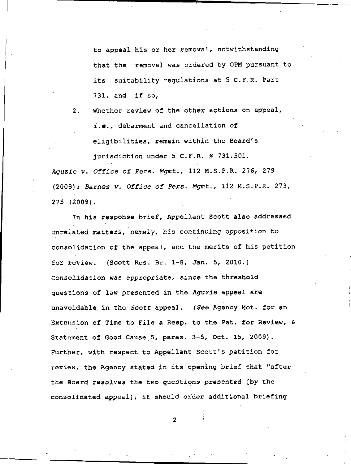to appeal his or her removal, notwithstanding that the removal was ordered by 0PM pursuant to its suitability regulations at 5 C.F.R. Part  $731$ , and if so,

2, Whether review of the other actions on appeal, i.e., debarment and cancellation of eligibilities, remain within the Board's jurisdiction under 5 C.F.R. § 731.501.

Aguzie v. Office of Pers. Mgmt., 112 M.S.P.R. 276, 279 (2009); Barnes v. Office of Pers. Mgmt., 112 M.S.P.R. 273, 275 (2009).

In his response brief, Appellant Scott also addressed unrelated matters, namely, his continuing opposition to consolidation of the appeal, and the merits of his petition for review. (Scott Res. Br. 1-8, Jan. 5, 2010,) Consolidation was appropriate, since the threshold questions of law presented in the Aguzie appeal are unavoidable in the Scott appeal, (See Agency Mot. for an Extension of Time to File a Resp. to the Pet. for Review, & Statement of Good Cause 5, paras. 3-5, Oct. 15, 2009). Further, with respect to Appellant Scott's petition for review, the Agency stated in its opening brief that "after the Board resolves the two questions presented [by the consolidated appeal], it should order additional briefing

 $\overline{2}$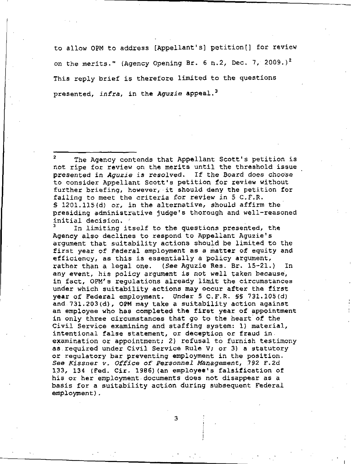to allow 0PM to address [Appellant's] petition[] for review on the merits." (Agency Opening Br. 6 n.2, Dec. 7, 2009.)<sup>2</sup> This reply brief is therefore limited to the questions presented, infra, in the Aguzie appeal.<sup>3</sup>

<sup>2</sup> The Agency contends that Appellant Scott's petition is not ripe for review on the merits until the threshold issue presented in Aguzie is resolved. If the Board does choose to consider Appellant Scott's petition for review without further briefing, however, it should deny the petition for failing to meet the criteria for review in 5 C.F.R. § 1201,115(d) or, in the alternative, should affirm the presiding administrative judge's thorough and well-reasoned initial decision, '

In limiting itself to the questions presented, the Agency also declines to respond to Appellant Aguzie's argument that suitability actions should be limited to the first year of Federal employment as a matter of equity and efficiency, as this is essentially a policy argument, rather than a legal one. (See Aguzie Res. Br. 15-21.) In any event, his policy argument is not well taken because, in fact, OPM's regulations already limit the circumstances under which suitability actions may occur after the first year of Federal employment. Under 5 C.F.R. §§ 731.105(d) and 731.203(d), OPM may take a suitability action against an employee who has completed the first year of appointment in only three circumstances that go to the heart' of the Civil Service examining and staffing system: 1) material, intentional false statement, or deception or fraud in examination or appointment; 2} refusal to furnish testimony as required under Civil Service Rule V; or 3) a statutory or regulatory bar preventing employment in the position. See Kissner v. Office of Personnel Management, 792 F.2d 133, 134 (Fed, Cir. 1986) (an employee's falsification of his or her employment documents does not disappear as a basis for a suitability action during subsequent Federal employment).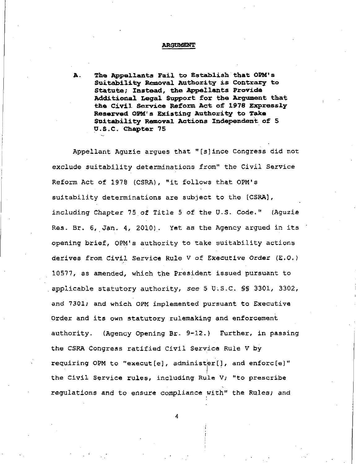#### ARGUMENT

A. The Appellants Fail to Establish that OEM's Suitability Removal Authority is Contrary to Statute; Instead, the Appellants Provide Additional Legal Support for the Argument that the Civil Service Reform Act of 1978 Expressly Reserved OEM's Existing Authority to Take Suitability Removal Actions Independent of 5 U.S.C. Chapter 75

Appellant Aguzie argues that "[s]ince Congress did not exclude suitability determinations from" the Civil Service Reform Act of 1978 (CSRA), "it follows that OPM's suitability determinations are subject to the [CSRA], including Chapter 75 of Title 5 of the U.S. Code." (Aguzie Res. Br. 6, Jan. 4, 2010). Yet as the Agency argued in its opening brief,- OPM's authority to take suitability actions derives from Civil Service Rule V of Executive Order (E.G.) 10577, as amended, which the President issued pursuant to applicable statutory authority, see 5 U.S.C. SS 3301, 3302, and 7301; and which OPM implemented pursuant to Executive Order and its own statutory rulemaking and enforcement authority. (Agency Opening Br. 9-12.) Further, in passing the CSRA Congress ratified Civil Service Rule V by requiring OPM to "execut[e], administer[], and enforc[e]" the Civil Service rules, including Rule V; "to prescribe regulations and to ensure compliance with" the Rules; and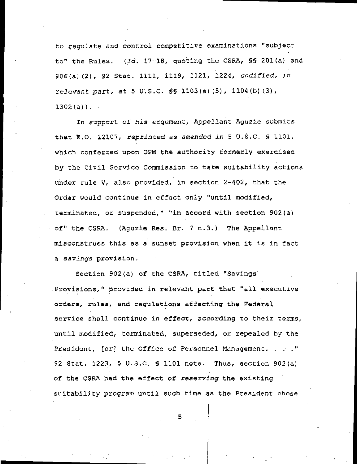to regulate and control competitive examinations "subject to" the Rules. (Id. 17-18, quoting the CSRA, §§ 201 (a) and 906(a)(2), 92 Stat. 1111, 1119, 1121, 1224, codified, in relevant part, at 5 U.S.C. §§ 1103(a) (5), 1104(b)(3),  $1302(a)$ ).

In support of his argument, Appellant Aguzie submits that E.O. 12107, reprinted as amended in 5 U.S.C.  $S$  1101, which conferred upon 0PM the authority formerly exercised by the Civil Service Commission to take suitability actions under rule V, also provided, in section 2-402, that the Order would continue in effect only "until modified, terminated, or suspended," "in accord with section 902(a) of" the CSRA. (Aguzie Res. Br, 7 n.3.) The Appellant misconstrues this as a sunset provision when it is in fact a savings provision.

Section 902(a) of the CSRA, titled "Savings Provisions," provided in relevant part that "all executive orders, rules, and regulations affecting the Federal service shall continue in effect, according to their terms, until modified, terminated, superseded, or repealed by the President, [or] the Office of Personnel Management. . . ." 92 Stat. 1223, 5 U.S.C. § 1101 note. Thus, section 902(a) of the CSRA had the effect of reserving the existing suitability program until such time as the President chose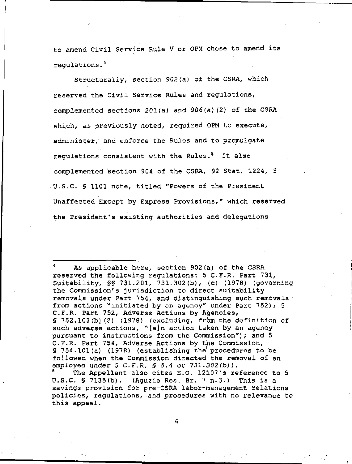to amend Civil Service Rule V or 0PM chose to amend its regulations.<sup>4</sup>

Structurally, section 902(a) of the CSRA, which reserved the Civil Service Rules and regulations, complemented sections 201(a) and 906(a)(2) of the CSRA which, as previously noted, required 0PM to execute, administer, and enforce the Rules and to promulgate regulations consistent with the Rules.<sup>5</sup> It also complemented section 904 of the CSRA, 92 Stat. 1224, 5 U.S.C. § 1101 note, titled "Powers of the President Unaffected Except by Express Provisions," which reserved the President's existing authorities and delegations

As applicable here, section 902(a) of the CSRA reserved the following regulations: 5 C.F.R. Part 731, Suitability, §§ 731.201, 731.302(b), (c) (1978) (governing the Commission's jurisdiction to direct suitability removals under Part 754, and distinguishing such removals from actions "initiated by an agency" under Part 752); 5 C-F.R. Part 752, Adverse Actions by Agencies, § 752.103(b)!(2) (1978) (excluding, from the definition of such adverse actions, <sup>w</sup>[ajn action taken by an agency pursuant to instructions from the Commission"); and 5 C.F.R. Part 754, Adverse Actions by the Commission,  $$754.101(a)$  (1978) (establishing the procedures to be followed when the Commission directed the removal of an employee under  $5$  C.F.R.  $5$  5.4 or 731.302(b)). The Appellant also cites E.O. 12107's reference to 5 U.S.C. § 7135(b). (Aguzie Res. Br. 7 n.3.) This is a savings provision for pre-CSRA labor-management relations policies, regulations, .and procedures with no relevance to

this appeal.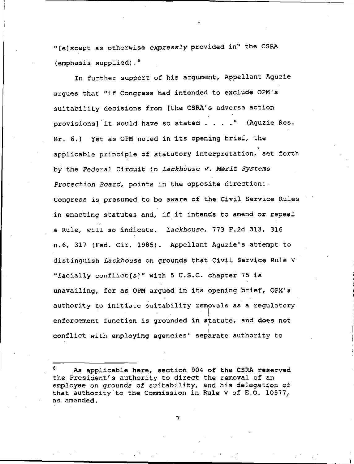"(e]xcept as otherwise expressly provided in" the CSRA (emphasis supplied) ,.

In further support of his argument, Appellant Aguzie argues that "if Congress had intended to exclude OPM's suitability decisions from [the CSRA's adverse action provisions] it would have so stated . . . ." (Aguzie Res. Br. 6.) Yet as OPM noted in its opening brief, the applicable principle of statutory interpretation, set forth by the Federal Circuit in Lackhouse v. Merit Systems Protection Board, points in the opposite direction: Congress is presumed to be aware of the Civil Service Rules in enacting statutes and, if it intends to amend or repeal s a Rule, will so indicate. Lackhouse, 773 F.2d 313, 316 n.6, 317 (Fed. Cir. 1985). Appellant Aguzie's attempt to distinguish Lackhouse on grounds that Civil Service Rule V "facially conflict[s]" with 5 U.S.C. chapter 75 is unavailing, for as 0PM argued in its opening brief, OPM's authority to initiate suitability removals as a regulatory enforcement function is grounded in statute, and does not conflict with employing agencies' separate authority to

As applicable here, section 904 of the CSRA reserved the President's authority to direct the removal of an employee on grounds of suitability, and his delegation of that authority to the. Commission in Rule v of E.O. 10577, as amended.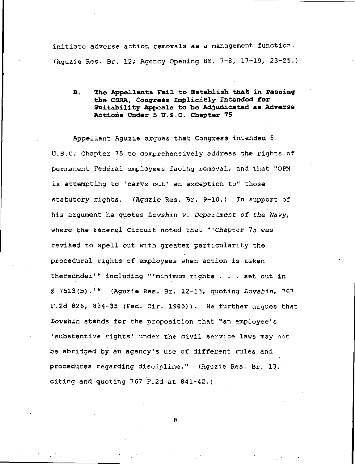initiate adverse action removals as a management function. (Aguzie Res. Br. 12; Agency Opening Br. 7-8, 17-19, 23-25.)

B. The Appellants Fail to Establish that in Passing the CSRA, Congress Implicitly Intended for Suitability Appeals to be Adjudicated as Adverse Actions Under 5 U.S.C. Chapter 75

Appellant Aguzie argues that Congress intended 5 U.S-C. Chapter 75 to comprehensively address the rights of permanent Federal employees facing removal, and that "OPM is attempting to 'carve out' an exception to" those statutory rights. (Aguzie Res. Br. 9-10.) In support of his argument he quotes Lovshin v. Department of the Wavy, where the Federal Circuit noted that "'Chapter 75 was revised to spell out with greater particularity the procedural rights of employees when action is taken thereunder'" including "'minimum rights . . . set out in  $$7513(b).$ '" (Aguzie Res. Br. 12-13, quoting Lovshin, 767 F.2d 826, 834-35 (Fed. Cir. 1985)). He further argues that Lovshin stands for the proposition that "an employee's 'substantive rights' under the civil service laws may not be abridged by an agency's use of different rules and procedures regarding discipline." (Aguzie Res. Br. 13, citing and quoting 767 F.2d at 841-42.)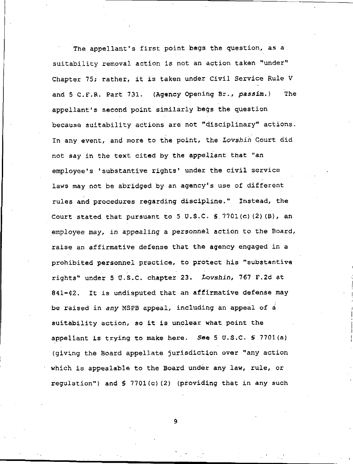The appellant's first point begs the question, as a suitability removal action is not an action taken "under" Chapter 75; rather, it is taken under Civil Service Rule V and 5 C.F.R. Part 731. (Agency Opening Br., passim.) The appellant's second point similarly begs the question because suitability actions are not "disciplinary" actions. In any event, and more to the point, the Lovshin Court did not say in the text cited by the appellant that "an employee's 'substantive rights' under the civil service laws may not be abridged by an agency's use of different rules and procedures regarding discipline." Instead, the Court stated that pursuant to 5 U.S.C.  $\S$  7701(c)(2)(B), an employee may, in appealing a personnel action to the Board, raise an affirmative defense that the agency engaged in a prohibited personnel practice, to protect his "substantive rights" under 5 U.S.C. chapter 23. Lovshin, 767 F.2d at 841-42. It is undisputed that an affirmative defense may be raised in any MSPB appeal, including an appeal of  $\acute{a}$ suitability action, so it is unclear what point the appellant is trying to make here. See  $5 \text{ U.S.C. }$  \$ 7701(a) (giving the Board appellate jurisdiction over "any action which is appealable to the Board under any law, rule, or regulation") and § 7701(c) (2) (providing that in any such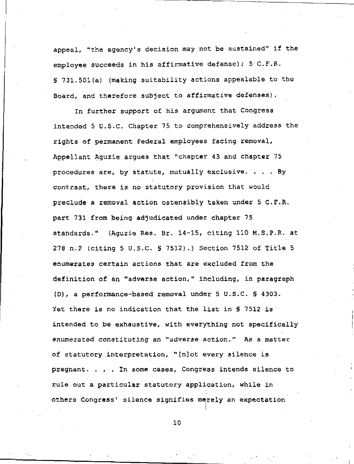appeal, "the agency's decision may not be -sustained" if the employee succeeds in his affirmative defense);  $5^{\circ}$  C.F.R. § 731.501(a) (making suitability actions appealable to the Board, and therefore subject to affirmative defenses).

In further support of his argument that Congress intended 5 U.S.C. Chapter 75 to comprehensively address the rights of permanent Federal employees facing removal, Appellant Aguzie argues that "chapter 43 and chapter 75 procedures are, by statute, mutually exclusive. ... By contrast, there is no statutory provision that would preclude a removal action ostensibly taken under 5 C.F.R. part 731 from being adjudicated under chapter 75 standards." (Aguzie Res. Br, 14-15, citing 110 M.S.P.R. at 278 n.2 (citing 5 U.S.C. § 7512).) Section 7512 of Title 5 enumerates certain actions that are excluded from the definition of an "adverse action," including, in paragraph (D), a performance-based removal under 5 U.S.C, § 4303. Yet there is no indication that the list in S 7512 is intended to be exhaustive, with everything not specifically enumerated constituting an "adverse action." As a matter of statutory interpretation, "[n]ot every silence is pregnant. ... In some cases. Congress intends silence to rule out a particular statutory application, while in others Congress' silence signifies merely an expectation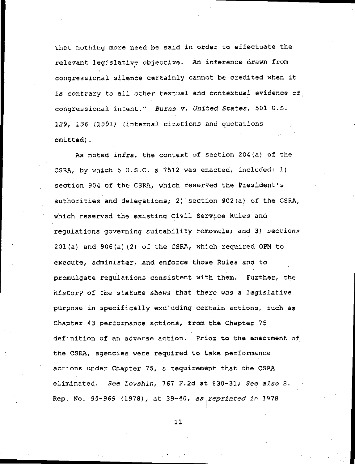that nothing more need be said in order to effectuate the relevant legislative objective. An inference drawn from / congressional silence certainly cannot be credited when it is contrary to all other textual and contextual evidence of congressional intent." Burns v. United States, 501 U.S. 129, 136 (1991) (internal citations and quotations omitted).

As noted infra, the context of section 204(a) of the CSRA, by which 5 U.S.C. § 7512 was enacted, included: 1} section 904 of the CSRA, which reserved the President's authorities and delegations; 2) section 902(a) of the CSRA, which reserved the existing Civil Service Rules and regulations governing suitability removals; and 3) sections 201(a) and 906(a)(2) of the CSRA, which required 0PM to execute, administer, and enforce those Rules and to promulgate regulations consistent with them. Further, the history of the statute shows that there was a legislative purpose in specifically excluding certain actions, such as Chapter 43 performance actions, from the Chapter 75 definition of an adverse action. Prior to the enactment of the CSRA, agencies were required to take performance actions under Chapter 75, a requirement that the CSRA eliminated. See Lovshin, 7S7 F.2d at 630-31; See also S. Rep. No. 95-969 (1978), at 39-40, as reprinted in 1978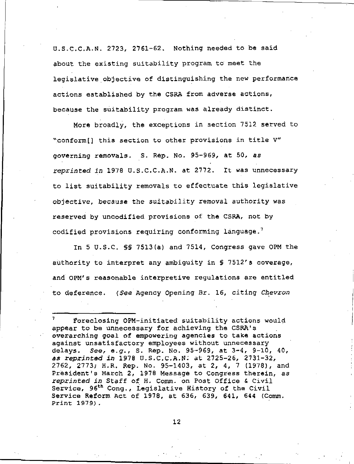U.S.C.C.A.N. 2723, 2761-62. Nothing needed to be said about the existing suitability program to meet the legislative objective of distinguishing the new performance actions established by the CSRA from adverse actions, because the suitability program was already distinct.

More broadly, the exceptions in section 7512 served to <sup>w</sup>.conform[] this section to other provisions in title V" governing removals. S. Rep. No. 95-969, at 50, as reprinted in 1978 U.S.C.C.A.N. at 2772. It was unnecessary to list suitability removals to effectuate this legislative objective, because the suitability removal authority was reserved by uncodified provisions of the CSRA, not by codified provisions requiring conforming language. $7$ 

In 5 U.S.C. §§ 7513(a) and 7514, Congress gave 0PM the authority to interpret any ambiguity in § 7512's coverage, and 0PM's reasonable interpretive regulations are entitled to deference. (See Agency Opening Br. 16, citing Chevron

<sup>1</sup> Foreclosing OPM-initiated suitability actions would appear to be unnecessary for achieving the CSRA's overarching goal of empowering agencies to take actions against unsatisfactory employees without unnecessary delays. See, e.g., S. Rep. No. 95-969, at 3-4, 9-10, 40, as reprinted in 1978 U.S.C.C.A.N: at 2725-26, 2731-32, 2762, 2773; H.R. Rep. No. 95-1403, at 2, 4, 7 (1978), and President's March 2, 1978 Message to Congress therein, as reprinted in Staff of H. Comm. on Post Office & Civil Service, 96th Cong., Legislative History of the Civil Service Reform Act of 1978, at 636, 639, 641, 644 (Comm. Print 1979).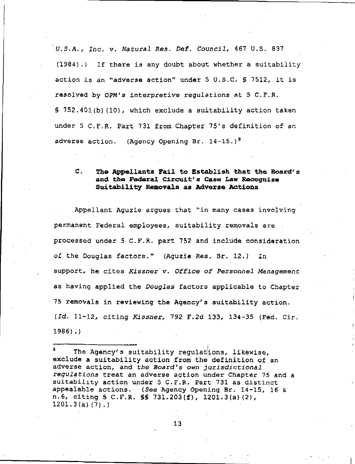'U.S.A., Inc. v. Natural Res. Def. Council, 467 U.S. 937 (1984).) If there is any doubt about whether a suitability action is an "adverse action" under 5 U.S.C. § 7512, it is resolved by 0PM<sup>1</sup>s interpretive regulations at 5 C.F.R. § 752.4Ql(b)(10), which exclude a suitability action taken under 5 C.F.R. Part 731 from Chapter 75's definition of an adverse action. (Agency Opening Br. 14-15.)<sup>8</sup>

# C. The Appellants Fail to Establish that the Board's and the Federal Circuit'a Case Law Recognize Suitability Removals as Adverse Actions

Appellant Aguzie argues that "in many cases involving permanent Federal employees, suitability removals are processed under 5 C.F.R. part 752 and include consideration of the Douglas factors." (Aguzie Res, Br. 12.) In support, he cites Kissner v. Office of Personnel Management as having applied the Douglas factors applicable to Chapter 75 removals in reviewing the Agency's suitability action. (Id. 11-12, citing Kissner, 792 F.2d 133, 134-35 (Fed. Cir. 1986).)

The Agency's suitability regulations, likewise, exclude a suitability action from the' definition of an adverse action, and the Board's own jurisdictional regulations treat an adverse action under Chapter 75 and a suitability action under 5 C.F.R. Part 731 as.distinct appealable actions. (See Agency Opening Br. 14-15, 16 & n.6, citing 5 C.F.R. §§ 731.203(f), 1201-3(a)(2), 1201.3(a)(7).)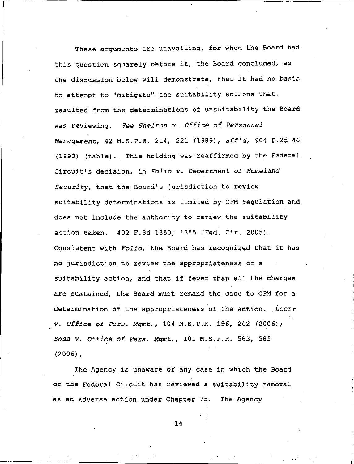These arguments are unavailing, for when the Board had this question squarely before it, the Board concluded, as the discussion below will demonstrate, that it had no basis to attempt to "mitigate" the suitability actions that resulted from the determinations of unsuitability the Board was reviewing. See Shelton v. Office of Personnel Management, 42 M.S.P.R. 214, 221 (1969), aff'd, 904 F.2d 46 (1990) (table). This holding was reaffirmed by the Federal Circuit's decision, in Folio v. Department of Homeland Security, that the Board's jurisdiction to review suitability determinations is limited by OPM regulation and does not include the authority to review the suitability action taken. 402 F.3d 1350, 1355 (Fed. Cir. 2005). Consistent with Folio, the Board has recognized that it has no jurisdiction to review the appropriateness of a suitability action, and that if fewer than all the charges are sustained, the Board must remand the case to OPM for a determination of the appropriateness of the action. Doerr v. Office Qf Pezs. Mgmt., 104 M.S.P.R. 196, 202 (2006); Sosa v. Office of Pers. Mgmt., 101 M.S.P.R. 583, 565 (2006) .

The Agency is unaware of any case in which the Board or the Federal Circuit has reviewed a suitability removal as an adverse action under Chapter 75. The Agency

14

• I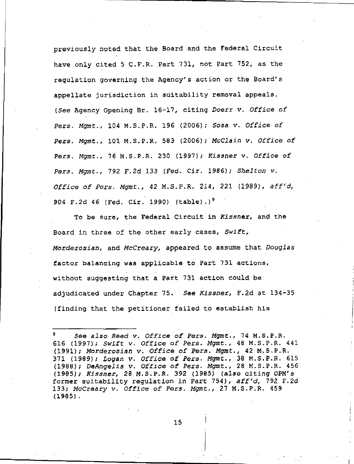previously noted that the Board and the Federal Circuit have only cited 5 C.F.R. Part 731, not Part 752, as the regulation governing the Agency's action or the Board's appellate jurisdiction in suitability removal appeals. (See Agency Opening Br. 16-17, citing Doerr v. Office of Pers. Mgmt., 104 M.S.P.R. 196 (2006); Sosa v. Office of Pers, Mgmt., 101 M.S.P.R. 583 (2006); McCiain v. Office of Pers. Mgmt., 76 M.S.P.R. 230 (1997); Kissner v. Office of Pers. Mgmt., 792 F.2d 133 (Fed. Cir. 1986); Shelton v. Office of Pers. Mgmt., 42 M.S.P.R. 214, 221 (1989), aff'd, 904 F.2d 46 (Fed. Cir. 1990) (table).)<sup>9</sup>

To be sure, the Federal Circuit in Kissner, and the Board in three of the other early cases, Swift, Morderosian, and McCreary, appeared to assume that Douglas factor balancing was applicable to Part 731 actions, without suggesting that a Part 731 action could be adjudicated under Chapter 75. See Kissner, F.2d at 134-35 (finding that the petitioner failed to establish his

See also Reed v. Office of Pers. Mgmt., 74 M.S.P.R. 616 (1997); Swift v. Office of Pers. Mgmt., 48 M.S.P.R. 441 (1991); Morderosian v. Office of Pers. Mgmt., 42 M.S.P.R. 371 (1989); Logan v. Office of Pers. Mgmt., 38 M.S.P.R. 615 (1988); DeAngelis v. Office of Pers- Mgmt., 28 M.S.P.R. 456 (1995); Kissner, 28 M.S.P.R. 392 (1985) (also citing OPM's former suitability regulation in Part 754), aff'd, 792 F.2d 133; McCreary v. Office of Pers. Mgmt., 27 M.S.P.R. 459 (1985).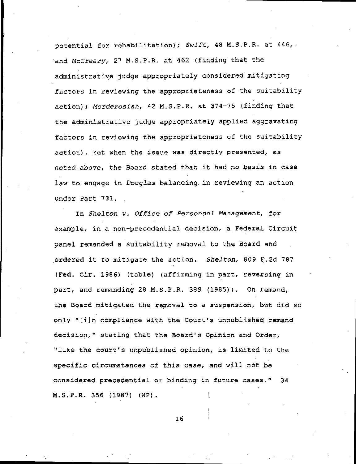potential for rehabilitation); Swift, 48 M.S.P.R. at 446, and McCreary, 27 M.S.P.R. at 462 (finding that the administrative judge appropriately considered mitigating factors in reviewing the appropriateness of the suitability action); Morderosian, 42 M.S.P.R. at 374-75 (finding that the administrative judge appropriately applied aggravating factors in reviewing the appropriateness of the suitability action). Yet when the issue was directly presented, as noted.above, the Board stated that it had no basis in case law to engage in *Douglas* balancing in reviewing an action under Part 731. .

In Shelton v. Office of Personnel Management, for example, in a non-precedential decision, a Federal Circuit panel remanded a suitability removal to the Board and ordered it to mitigate the action. Shelton, 809 F.2d 787 (Fed. Cir. 1986) (table) (affirming in part, reversing in part, and remanding 28 M.S.P.R. 389 (1985)). On remand, the Board mitigated the removal to a suspension, but did so only "[i]n compliance with the Court's unpublished remand decision," stating that the Board's Opinion and Order, "like the court's unpublished opinion, is limited to the specific circumstances of this case, and will not be considered precedential or binding in future cases." 34 M.S.P.R. 356 (1987) (NP).

16

i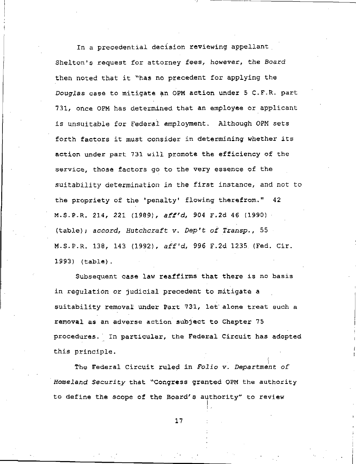In a precedential decision reviewing appellant . Shelton's request for attorney fees, however, the Board then noted that it "has no precedent for applying the Douglas case to mitigate an 0PM action under 5 C.F-R- part 731, once 0PM has determined that an employee or applicant is unsuitable for Federal employment. Although 0PM sets forth factors it must consider in determining whether its action under part 731 will promote the efficiency of the service, those factors go to the very essence of the suitability determination in the first instance, and not to the propriety of the 'penalty' flowing therefrom." 42 M.S.P-R. 214, 221 (1969), aff'd, 904 F.2d 46 (1990) (table); accord, Hutchcraft v. Dep't of Transp. , 55 M.S.P.R. 138, 143 (1992), aff'd, 996 F.2d 1235 (Fed. Cir. 1993) (table).

Subsequent case law reaffirms that there is no basis in regulation or judicial precedent to mitigate a suitability removal under Part 731, let alone treat such a removal as an adverse action subject to Chapter 75 procedures. In particular, the Federal Circuit has adopted this principle.

! The Federal Circuit ruled in Folio v. Department of Homeland Security that ^Congress granted 0PM the authority to define the scope of the Board's authority" to review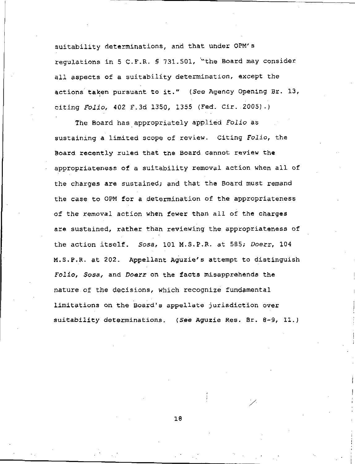suitability determinations, and that under 0PM's regulations in 5 C-F.R. § 731.501, '"the Board may consider all aspects of a suitability determination, except the actions taken pursuant to it." (See Agency Opening Br. 13, citing Folio, 402 F.3d 1350, 1355 (Fed. Cir. 2005).)

The Board has appropriately applied Folio as sustaining a limited scope of review. Citing Folio, the Board recently ruled that the Board cannot review the appropriateness of a suitability removal action when all of the charges are sustained; and that the Board must remand the case to OPM for a determination of the appropriateness of the removal action when fewer than all of the charges are sustained, rather than reviewing the appropriateness of the action itself. Sosa, 101 M.S.P.R. at 585; Doerr, 104 M.S.P.R. at 202. Appellant Aguzie's attempt to distinguish Folio, Sosa, and Doerr on the facts misapprehends the nature of the decisions, which recognize fundamental limitations on the Board's appellate jurisdiction over suitability determinations. (See Aguzie Res. Br. 8-9, 11.)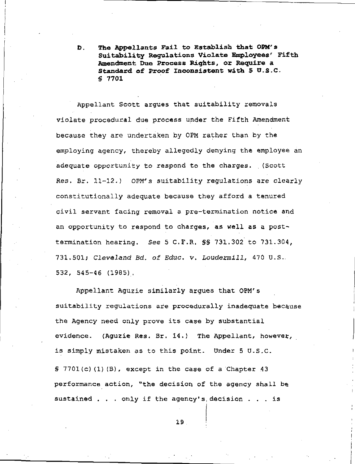D. The Appellants Fail to Establish that OPM's Suitability Regulations Violate Employees' Fifth Amendment Due Process Rights, or Require a Standard of Proof Inconsistent with 5 U.S.C. § 7701

Appellant Scott argues that suitability removals violate procedural due process under the Fifth Amendment because they are undertaken by OPM rather than by the employing agency, thereby allegedly denying the employee an adequate opportunity to respond to the charges. (Scott Res. Br. 11-12.) OPM's suitability regulations are clearly constitutionally adequate because they afford a tenured civil servant facing removal a pre-termination notice and an opportunity to respond to charges, as well as a posttermination hearing. See 5 C.F.R. §§ 731.302 to 731.304, 731,501; Cleveland Bd. of Educ. v. Loudermill, 470 U.S. 532, 545-46 (1985).

Appellant Aguzie similarly argues that OPM's suitability regulations are procedurally inadequate because the Agency need only prove its case by substantial evidence. (Aguzie Res. Br. 14,) The Appellant, howevet, is simply mistaken as to this point. Under 5 U.S.C. § 7701(c)(1)(B), except in the case of a Chapter 43 performance action, "the decision of the agency shall be sustained . . . only if the agency's decision . . . is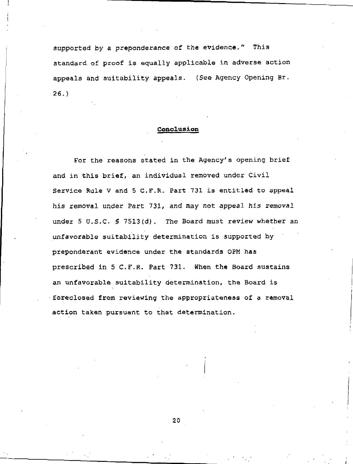supported by a preponderance of the evidence." This standard, of proof is equally applicable in adverse action appeals and suitability appeals. (See Agency Opening Br. 26.)

# Conclusion

For the reasons stated in the Agency's opening brief and in this brief, an individual removed under Civil Service Rule V and 5 C.F.R. Part 731 is entitled to appeal his removal under Part 731, and may not appeal his removal under 5 U.S.C. § 7513(d). The Board must review whether an unfavorable suitability determination is supported by preponderant evidence under the standards OPM has prescribed in 5 C.F.R. Part 731. When the Board sustains an unfavorable suitability determination, the Board is foreclosed from reviewing the appropriateness of a removal action taken pursuant to that determination.